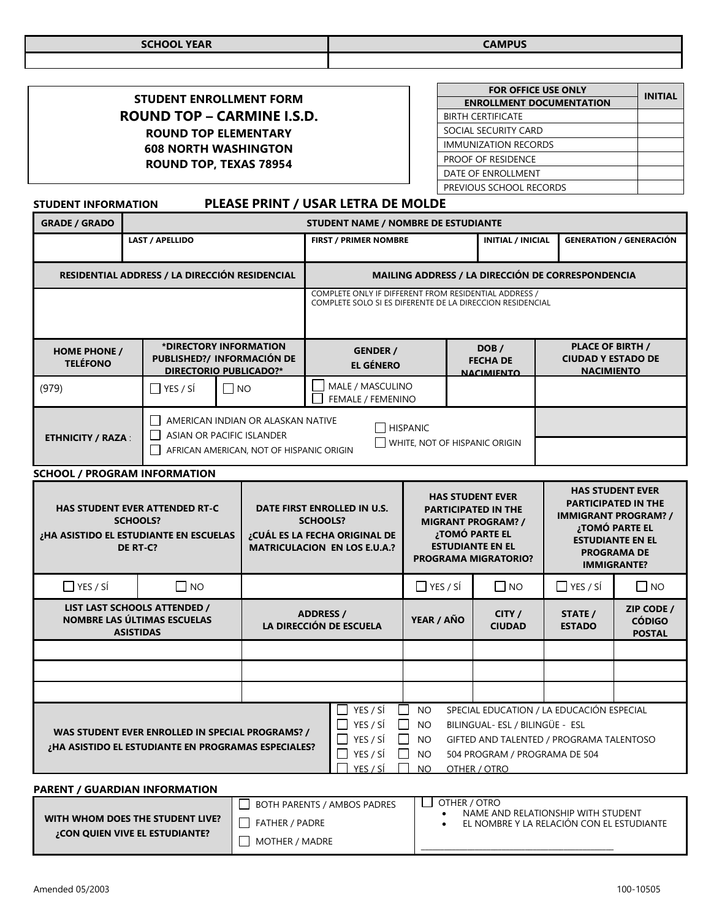| <b>SCHOOL YEAR</b> | CAMDIIC<br>SUUTI AA |
|--------------------|---------------------|
|                    |                     |

| STUDENT ENROLLMENT FORM           |
|-----------------------------------|
| <b>ROUND TOP – CARMINE I.S.D.</b> |
| <b>ROUND TOP ELEMENTARY</b>       |
| <b>608 NORTH WASHINGTON</b>       |
| <b>ROUND TOP, TEXAS 78954</b>     |

| <b>FOR OFFICE USE ONLY</b>      | <b>INITIAL</b> |
|---------------------------------|----------------|
| <b>ENROLLMENT DOCUMENTATION</b> |                |
| <b>BIRTH CERTIFICATE</b>        |                |
| SOCIAL SECURITY CARD            |                |
| <b>IMMUNIZATION RECORDS</b>     |                |
| PROOF OF RESIDENCE              |                |
| DATE OF ENROLLMENT              |                |
| PREVIOUS SCHOOL RECORDS         |                |

# **STUDENT INFORMATION PLEASE PRINT / USAR LETRA DE MOLDE**

| <b>GRADE / GRADO</b>                                                                                                                                                                                                                                                                                                                                                                                      | STUDENT NAME / NOMBRE DE ESTUDIANTE |                 |                                                                                                                        |                                                                                                                                             |                                       |                                                                                                                                                                |                         |                                                                                                                                                                               |                                              |  |
|-----------------------------------------------------------------------------------------------------------------------------------------------------------------------------------------------------------------------------------------------------------------------------------------------------------------------------------------------------------------------------------------------------------|-------------------------------------|-----------------|------------------------------------------------------------------------------------------------------------------------|---------------------------------------------------------------------------------------------------------------------------------------------|---------------------------------------|----------------------------------------------------------------------------------------------------------------------------------------------------------------|-------------------------|-------------------------------------------------------------------------------------------------------------------------------------------------------------------------------|----------------------------------------------|--|
| <b>LAST / APELLIDO</b>                                                                                                                                                                                                                                                                                                                                                                                    |                                     |                 | <b>FIRST / PRIMER NOMBRE</b>                                                                                           |                                                                                                                                             |                                       | <b>INITIAL / INICIAL</b>                                                                                                                                       |                         | <b>GENERATION / GENERACIÓN</b>                                                                                                                                                |                                              |  |
| RESIDENTIAL ADDRESS / LA DIRECCIÓN RESIDENCIAL                                                                                                                                                                                                                                                                                                                                                            |                                     |                 | MAILING ADDRESS / LA DIRECCIÓN DE CORRESPONDENCIA                                                                      |                                                                                                                                             |                                       |                                                                                                                                                                |                         |                                                                                                                                                                               |                                              |  |
|                                                                                                                                                                                                                                                                                                                                                                                                           |                                     |                 |                                                                                                                        | COMPLETE ONLY IF DIFFERENT FROM RESIDENTIAL ADDRESS /<br>COMPLETE SOLO SI ES DIFERENTE DE LA DIRECCION RESIDENCIAL                          |                                       |                                                                                                                                                                |                         |                                                                                                                                                                               |                                              |  |
| *DIRECTORY INFORMATION<br><b>HOME PHONE /</b><br>PUBLISHED?/ INFORMACIÓN DE<br><b>TELÉFONO</b><br><b>DIRECTORIO PUBLICADO?*</b>                                                                                                                                                                                                                                                                           |                                     |                 |                                                                                                                        | DOB/<br><b>GENDER /</b><br><b>FECHA DE</b><br><b>EL GÉNERO</b><br>ΝΔΟΙΜΙΕΝΤΟ                                                                |                                       |                                                                                                                                                                |                         | <b>PLACE OF BIRTH /</b><br><b>CIUDAD Y ESTADO DE</b><br><b>NACIMIENTO</b>                                                                                                     |                                              |  |
| (979)                                                                                                                                                                                                                                                                                                                                                                                                     |                                     | $\Box$ YES / SÍ | $\Box$ NO                                                                                                              |                                                                                                                                             | MALE / MASCULINO<br>FEMALE / FEMENINO |                                                                                                                                                                |                         |                                                                                                                                                                               |                                              |  |
| AMERICAN INDIAN OR ALASKAN NATIVE<br>$\mathsf{L}$<br>ASIAN OR PACIFIC ISLANDER<br>$\Box$<br><b>ETHNICITY / RAZA:</b><br>AFRICAN AMERICAN, NOT OF HISPANIC ORIGIN                                                                                                                                                                                                                                          |                                     |                 |                                                                                                                        | <b>HISPANIC</b>                                                                                                                             |                                       | $\Box$ WHITE, NOT OF HISPANIC ORIGIN                                                                                                                           |                         |                                                                                                                                                                               |                                              |  |
| <b>SCHOOL / PROGRAM INFORMATION</b>                                                                                                                                                                                                                                                                                                                                                                       |                                     |                 |                                                                                                                        |                                                                                                                                             |                                       |                                                                                                                                                                |                         |                                                                                                                                                                               |                                              |  |
| <b>HAS STUDENT EVER ATTENDED RT-C</b><br><b>SCHOOLS?</b><br>¿HA ASISTIDO EL ESTUDIANTE EN ESCUELAS<br>DE RT-C?                                                                                                                                                                                                                                                                                            |                                     |                 | DATE FIRST ENROLLED IN U.S.<br><b>SCHOOLS?</b><br>¿CUÁL ES LA FECHA ORIGINAL DE<br><b>MATRICULACION EN LOS E.U.A.?</b> |                                                                                                                                             |                                       | <b>HAS STUDENT EVER</b><br><b>PARTICIPATED IN THE</b><br><b>MIGRANT PROGRAM? /</b><br>¿TOMÓ PARTE EL<br><b>ESTUDIANTE EN EL</b><br><b>PROGRAMA MIGRATORIO?</b> |                         | <b>HAS STUDENT EVER</b><br><b>PARTICIPATED IN THE</b><br><b>IMMIGRANT PROGRAM? /</b><br>¿TOMÓ PARTE EL<br><b>ESTUDIANTE EN EL</b><br><b>PROGRAMA DE</b><br><b>IMMIGRANTE?</b> |                                              |  |
| $\Box$ YES / SÍ<br>  INO                                                                                                                                                                                                                                                                                                                                                                                  |                                     |                 |                                                                                                                        |                                                                                                                                             | $\Box$ YES / SÍ                       |                                                                                                                                                                | $\Box$ NO               | $\Box$ YES / SÍ                                                                                                                                                               | $\square$ NO                                 |  |
| LIST LAST SCHOOLS ATTENDED /<br>NOMBRE LAS ÚLTIMAS ESCUELAS<br><b>ASISTIDAS</b>                                                                                                                                                                                                                                                                                                                           |                                     |                 | <b>ADDRESS /</b><br>LA DIRECCIÓN DE ESCUELA                                                                            |                                                                                                                                             | YEAR / AÑO                            |                                                                                                                                                                | CITY /<br><b>CIUDAD</b> | STATE /<br><b>ESTADO</b>                                                                                                                                                      | ZIP CODE /<br><b>CÓDIGO</b><br><b>POSTAL</b> |  |
|                                                                                                                                                                                                                                                                                                                                                                                                           |                                     |                 |                                                                                                                        |                                                                                                                                             |                                       |                                                                                                                                                                |                         |                                                                                                                                                                               |                                              |  |
|                                                                                                                                                                                                                                                                                                                                                                                                           |                                     |                 |                                                                                                                        |                                                                                                                                             |                                       |                                                                                                                                                                |                         |                                                                                                                                                                               |                                              |  |
|                                                                                                                                                                                                                                                                                                                                                                                                           |                                     |                 |                                                                                                                        |                                                                                                                                             |                                       |                                                                                                                                                                |                         |                                                                                                                                                                               |                                              |  |
| YES / SÍ<br>SPECIAL EDUCATION / LA EDUCACIÓN ESPECIAL<br>NO.<br>YES / SÍ<br><b>NO</b><br>BILINGUAL- ESL / BILINGÜE - ESL<br>WAS STUDENT EVER ENROLLED IN SPECIAL PROGRAMS? /<br>YES / SÍ<br>GIFTED AND TALENTED / PROGRAMA TALENTOSO<br>NO<br>¿HA ASISTIDO EL ESTUDIANTE EN PROGRAMAS ESPECIALES?<br>YES / SÍ<br><b>NO</b><br>504 PROGRAM / PROGRAMA DE 504<br>YES / SÍ<br>N <sub>O</sub><br>OTHER / OTRO |                                     |                 |                                                                                                                        |                                                                                                                                             |                                       |                                                                                                                                                                |                         |                                                                                                                                                                               |                                              |  |
| <b>PARENT / GUARDIAN INFORMATION</b>                                                                                                                                                                                                                                                                                                                                                                      |                                     |                 |                                                                                                                        |                                                                                                                                             |                                       |                                                                                                                                                                |                         |                                                                                                                                                                               |                                              |  |
| WITH WHOM DOES THE STUDENT LIVE?<br>FATHER / PADRE                                                                                                                                                                                                                                                                                                                                                        |                                     |                 |                                                                                                                        | OTHER / OTRO<br>BOTH PARENTS / AMBOS PADRES<br>NAME AND RELATIONSHIP WITH STUDENT<br>EL NOMBRE Y LA RELACIÓN CON EL ESTUDIANTE<br>$\bullet$ |                                       |                                                                                                                                                                |                         |                                                                                                                                                                               |                                              |  |

 $\Box$  MOTHER / MADRE

**¿CON QUIEN VIVE EL ESTUDIANTE?**

\_\_\_\_\_\_\_\_\_\_\_\_\_\_\_\_\_\_\_\_\_\_\_\_\_\_\_\_\_\_\_\_\_\_\_\_\_\_\_\_\_\_\_\_\_\_\_\_\_\_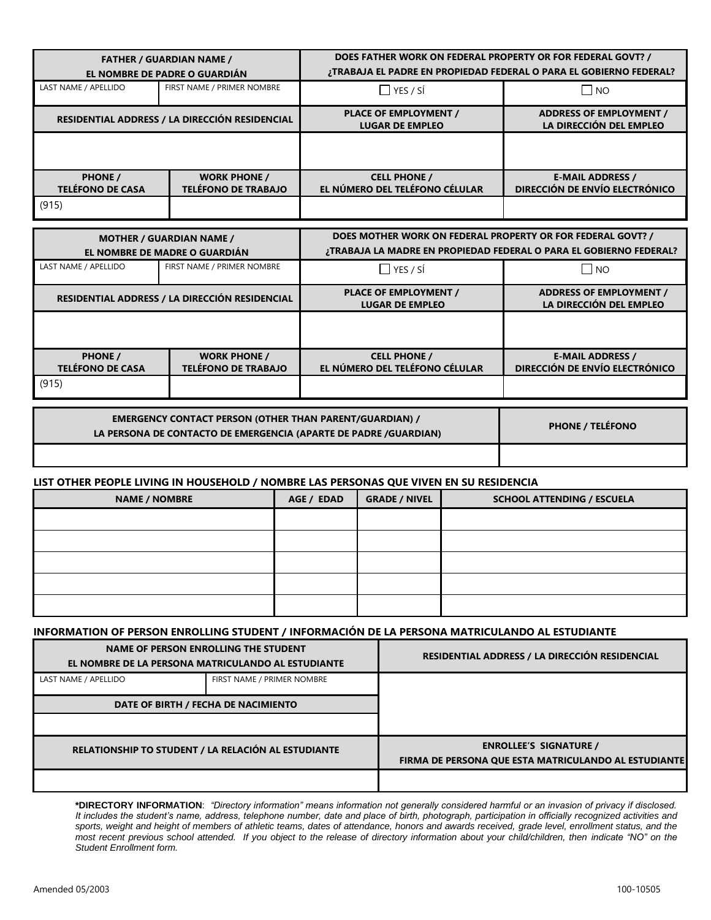|                                           | <b>FATHER / GUARDIAN NAME /</b><br>EL NOMBRE DE PADRE O GUARDIÁN | DOES FATHER WORK ON FEDERAL PROPERTY OR FOR FEDERAL GOVT? /<br><b>;TRABAJA EL PADRE EN PROPIEDAD FEDERAL O PARA EL GOBIERNO FEDERAL?</b> |                                                           |  |  |
|-------------------------------------------|------------------------------------------------------------------|------------------------------------------------------------------------------------------------------------------------------------------|-----------------------------------------------------------|--|--|
| LAST NAME / APELLIDO                      | FIRST NAME / PRIMER NOMBRE                                       | $\Box$ YES / SÍ<br>$\Box$ No                                                                                                             |                                                           |  |  |
|                                           | RESIDENTIAL ADDRESS / LA DIRECCIÓN RESIDENCIAL                   | <b>PLACE OF EMPLOYMENT /</b><br><b>LUGAR DE EMPLEO</b>                                                                                   | <b>ADDRESS OF EMPLOYMENT /</b><br>LA DIRECCIÓN DEL EMPLEO |  |  |
|                                           |                                                                  |                                                                                                                                          |                                                           |  |  |
| <b>PHONE /</b><br><b>TELÉFONO DE CASA</b> | <b>WORK PHONE /</b><br><b>TELÉFONO DE TRABAJO</b>                | <b>CELL PHONE /</b><br>EL NÚMERO DEL TELÉFONO CÉLULAR                                                                                    | <b>E-MAIL ADDRESS /</b><br>DIRECCIÓN DE ENVÍO ELECTRÓNICO |  |  |
| (915)                                     |                                                                  |                                                                                                                                          |                                                           |  |  |

|                                           | <b>MOTHER / GUARDIAN NAME /</b><br>EL NOMBRE DE MADRE O GUARDIÁN | DOES MOTHER WORK ON FEDERAL PROPERTY OR FOR FEDERAL GOVT? /<br>¿TRABAJA LA MADRE EN PROPIEDAD FEDERAL O PARA EL GOBIERNO FEDERAL? |                                                           |  |  |
|-------------------------------------------|------------------------------------------------------------------|-----------------------------------------------------------------------------------------------------------------------------------|-----------------------------------------------------------|--|--|
| LAST NAME / APELLIDO                      | FIRST NAME / PRIMER NOMBRE                                       | $\Box$ YES / SÍ                                                                                                                   | $\Box$ NO                                                 |  |  |
|                                           | RESIDENTIAL ADDRESS / LA DIRECCIÓN RESIDENCIAL                   | <b>PLACE OF EMPLOYMENT /</b><br><b>LUGAR DE EMPLEO</b>                                                                            | <b>ADDRESS OF EMPLOYMENT /</b><br>LA DIRECCIÓN DEL EMPLEO |  |  |
|                                           |                                                                  |                                                                                                                                   |                                                           |  |  |
| <b>PHONE /</b><br><b>TELÉFONO DE CASA</b> | <b>WORK PHONE /</b><br><b>TELÉFONO DE TRABAJO</b>                | <b>CELL PHONE /</b><br>EL NÚMERO DEL TELÉFONO CÉLULAR                                                                             | <b>E-MAIL ADDRESS /</b><br>DIRECCIÓN DE ENVÍO ELECTRÓNICO |  |  |
| (915)                                     |                                                                  |                                                                                                                                   |                                                           |  |  |

| <b>EMERGENCY CONTACT PERSON (OTHER THAN PARENT/GUARDIAN) /</b><br>LA PERSONA DE CONTACTO DE EMERGENCIA (APARTE DE PADRE /GUARDIAN) | <b>PHONE / TELEFONO</b> |
|------------------------------------------------------------------------------------------------------------------------------------|-------------------------|
|                                                                                                                                    |                         |

## **LIST OTHER PEOPLE LIVING IN HOUSEHOLD / NOMBRE LAS PERSONAS QUE VIVEN EN SU RESIDENCIA**

| <b>NAME / NOMBRE</b> | AGE / EDAD | <b>GRADE / NIVEL</b> | <b>SCHOOL ATTENDING / ESCUELA</b> |
|----------------------|------------|----------------------|-----------------------------------|
|                      |            |                      |                                   |
|                      |            |                      |                                   |
|                      |            |                      |                                   |
|                      |            |                      |                                   |
|                      |            |                      |                                   |

## **INFORMATION OF PERSON ENROLLING STUDENT / INFORMACIÓN DE LA PERSONA MATRICULANDO AL ESTUDIANTE**

|                      | NAME OF PERSON ENROLLING THE STUDENT<br>EL NOMBRE DE LA PERSONA MATRICULANDO AL ESTUDIANTE | RESIDENTIAL ADDRESS / LA DIRECCIÓN RESIDENCIAL                                        |
|----------------------|--------------------------------------------------------------------------------------------|---------------------------------------------------------------------------------------|
| LAST NAME / APELLIDO | FIRST NAME / PRIMER NOMBRE                                                                 |                                                                                       |
|                      | DATE OF BIRTH / FECHA DE NACIMIENTO                                                        |                                                                                       |
|                      |                                                                                            |                                                                                       |
|                      | RELATIONSHIP TO STUDENT / LA RELACIÓN AL ESTUDIANTE                                        | <b>ENROLLEE'S SIGNATURE /</b><br>FIRMA DE PERSONA QUE ESTA MATRICULANDO AL ESTUDIANTE |
|                      |                                                                                            |                                                                                       |

**\*DIRECTORY INFORMATION**: *"Directory information" means information not generally considered harmful or an invasion of privacy if disclosed. It includes the student's name, address, telephone number, date and place of birth, photograph, participation in officially recognized activities and sports, weight and height of members of athletic teams, dates of attendance, honors and awards received, grade level, enrollment status, and the most recent previous school attended. If you object to the release of directory information about your child/children, then indicate "NO" on the Student Enrollment form.*